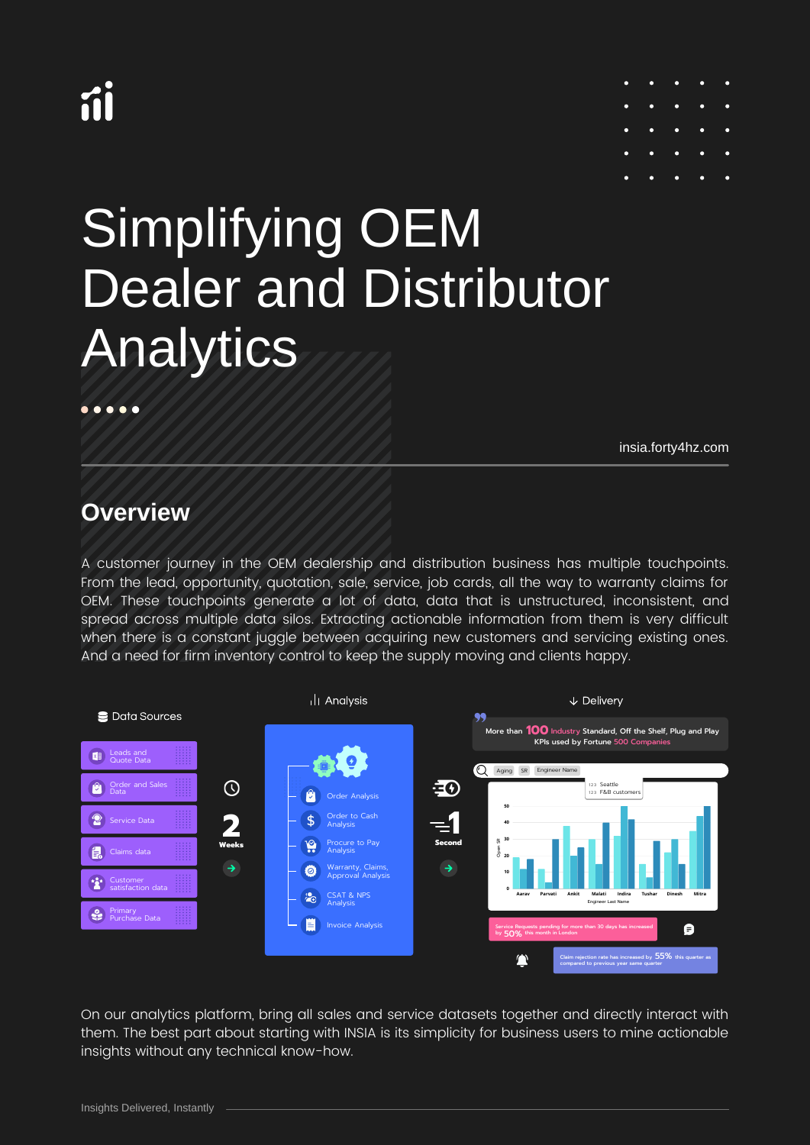# íi



## Simplifying OEM Dealer and Distributor Analytics

[insia.forty4hz.com](https://insia.forty4hz.com/)

## **Overview**

 $\bullet\bullet\bullet$ 

A customer journey in the OEM dealership and distribution business has multiple touchpoints. From the lead, opportunity, quotation, sale, service, job cards, all the way to warranty claims for OEM. These touchpoints generate a lot of data, data that is unstructured, inconsistent, and spread across multiple data silos. Extracting actionable information from them is very difficult when there is a constant juggle between acquiring new customers and servicing existing ones. And a need for firm inventory control to keep the supply moving and clients happy.



On our analytics platform, bring all sales and service datasets together and directly interact with them. The best part about starting with INSIA is its simplicity for business users to mine actionable insights without any technical know-how.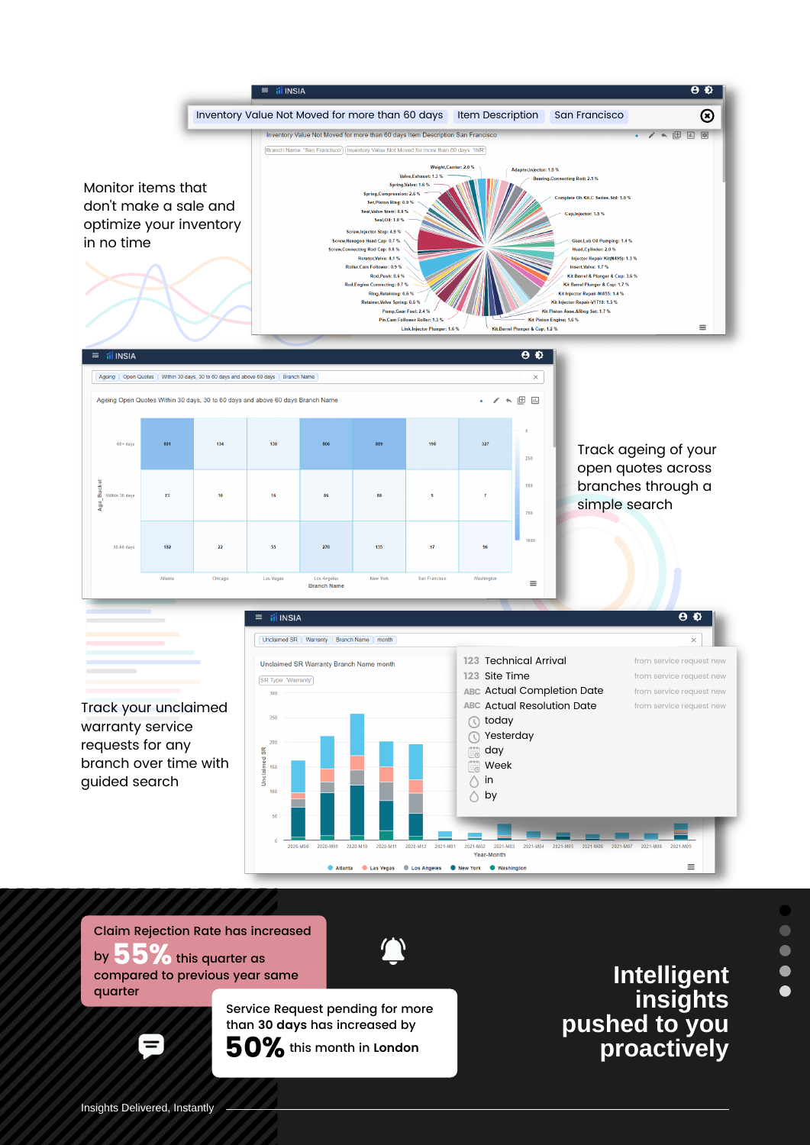

Claim Rejection Rate has increased by  $55%$  this quarter as

compared to previous year same quarter

> Service Request pending for more than **30 days** has increased by 50% this month in **London**

**Intelligent insights pushed to you proactively**